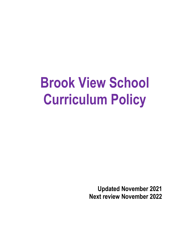# **Brook View School Curriculum Policy**

**Updated November 2021 Next review November 2022**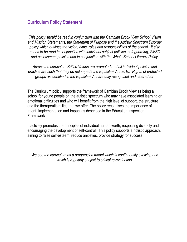# **Curriculum Policy Statement**

*This policy should be read in conjunction with the Cambian Brook View School Vision and Mission Statements, the Statement of Purpose and the Autistic Spectrum Disorder policy which outlines the vision, aims, roles and responsibilities of the school. It also needs to be read in conjunction with individual subject policies, safeguarding, SMSC and assessment policies and in conjunction with the Whole School Literacy Policy.*

*Across the curriculum British Values are promoted and all individual policies and practice are such that they do not impede the Equalities Act 2010. Rights of protected groups as identified in the Equalities Act are duly recognised and catered for.*

The Curriculum policy supports the framework of Cambian Brook View as being a school for young people on the autistic spectrum who may have associated learning or emotional difficulties and who will benefit from the high level of support, the structure and the therapeutic milieu that we offer. The policy recognises the importance of Intent, Implementation and Impact as described in the Education Inspection Framework.

It actively promotes the principles of individual human worth, respecting diversity and encouraging the development of self-control. This policy supports a holistic approach, aiming to raise self-esteem, reduce anxieties, provide strategy for success.

*We see the curriculum as a progression model which is continuously evolving and which is regularly subject to critical re-evaluation.*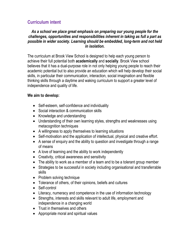# **Curriculum intent**

#### *As a school we place great emphasis on preparing our young people for the challenges, opportunities and responsibilities inherent in taking as full a part as possible in wider society. Learning should be embedded, long-term and not held in isolation.*

The curriculum at Brook View School is designed to help each young person to achieve their full potential both **academically** and **socially**. Brook View school believes that it has a dual-purpose role in not only helping young people to reach their academic potential but to also provide an education which will help develop their social skills, in particular their communication, interaction, social imagination and flexible thinking skills through a daytime and waking curriculum to support a greater level of independence and quality of life.

#### **We aim to develop:**

- Self-esteem, self-confidence and individuality
- Social interaction & communication skills
- Knowledge and understanding
- Understanding of their own learning styles, strengths and weaknesses using metacognition techniques
- A willingness to apply themselves to learning situations
- Self-motivation and the application of intellectual, physical and creative effort.
- A sense of enquiry and the ability to question and investigate through a range of means
- A love of learning and the ability to work independently
- Creativity, critical awareness and sensitivity
- The ability to work as a member of a team and to be a tolerant group member
- Strategies to be successful in society including organisational and transferrable skills
- Problem solving technique
- Tolerance of others, of their opinions, beliefs and cultures
- Self-control
- Literacy, numeracy and competence in the use of information technology
- Strengths, interests and skills relevant to adult life, employment and independence in a changing world
- Trust in themselves and others
- Appropriate moral and spiritual values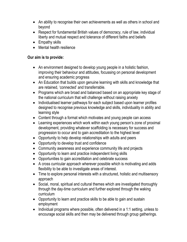- An ability to recognise their own achievements as well as others in school and beyond
- Respect for fundamental British values of democracy, rule of law, individual liberty and mutual respect and tolerance of different faiths and beliefs
- Empathy skills
- Mental health resilience

#### **Our aim is to provide:**

- An environment designed to develop young people in a holistic fashion, improving their behaviour and attitudes, focussing on personal development and ensuring academic progress
- An Education that builds upon genuine learning with skills and knowledge that are retained, 'connected' and transferrable.
- Programs which are broad and balanced based on an appropriate key stage of the national curriculum that will challenge without raising anxiety
- Individualised learner pathways for each subject based upon learner profiles designed to recognise previous knowledge and skills, individuality in ability and learning style
- Content through a format which motivates and young people can access
- Learning experiences which work within each young person's zone of proximal development, providing whatever scaffolding is necessary for success and progression to occur and to gain accreditation to the highest level
- Opportunity to help develop relationships with adults and peers
- Opportunity to develop trust and confidence
- Community awareness and experience community life and projects
- Opportunity to learn and practice independent living skills
- Opportunities to gain accreditation and celebrate success
- A cross curricular approach wherever possible which is motivating and adds flexibility to be able to investigate areas of interest.
- Time to explore personal interests with a structured, holistic and multisensory approach
- Social, moral, spiritual and cultural themes which are investigated thoroughly through the day-time curriculum and further explored through the waking curriculum
- Opportunity to learn and practice skills to be able to gain and sustain employment
- Individual programs where possible, often delivered in a 1:1 setting, unless to encourage social skills and then may be delivered through group gatherings.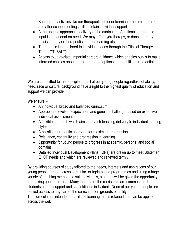Such group activities like our therapeutic outdoor learning program, morning and after school meetings still maintain individual support

- A therapeutic approach in delivery of the curriculum. Additional therapeutic input is dependent on need. We may offer hydrotherapy, or dance therapy, music therapy or therapeutic outdoor learning etc
- Therapeutic input tailored to individual needs through the Clinical Therapy Team (OT, SALT)
- Access to up-to-date, impartial careers guidance which enables pupils to make informed choices about a broad range of options and to fulfil their potential

We are committed to the principle that all of our young people regardless of ability, need, race or cultural background have a right to the highest quality of education and support we can provide.

We ensure: -

- An individual broad and balanced curriculum
- Appropriate levels of expectation and genuine challenge based on extensive individual assessment
- A flexible approach which aims to match teaching delivery to individual learning styles
- A holistic, therapeutic approach for maximum progression
- Relevance, continuity and progression in learning
- Opportunity for young people to progress in academic, personal and social domains
- Detailed Individual Development Plans (IDPs) are drawn up to meet Statement EHCP needs and which are reviewed and renewed termly.

By providing courses of study tailored to the needs, interests and aspirations of our young people through cross curricular, or topic-based programmes and using a huge variety of teaching methods to suit individuals, students will be given the opportunity for making good progress. Many features of the curriculum are common to all students but the support and scaffolding is individual. None of our young people are denied access to any part of the curriculum on grounds of ability.

The curriculum is intended to facilitate learning that is retained and can be applied across the web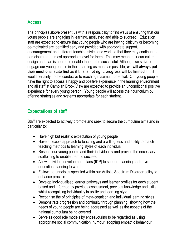# **Access**

The principles above present us with a responsibility to find ways of ensuring that our young people are engaging in learning, motivated and able to succeed. Education staff are expected to ensure that young people who are having difficulty or becoming de-motivated are identified early and provided with appropriate support, encouragement and different teaching styles and work so that they may continue to participate at the most appropriate level for them. This may mean their curriculum design and plan is altered to enable them to be successful. Although we strive to engage our young people in their learning as much as possible, **we will always put their emotional state first as if this is not right, progress will be limited** and it would certainly not be conducive to reaching maximum potential. Our young people have the right to access a happy and positive experience in the learning environment and all staff at Cambian Brook View are expected to provide an unconditional positive experience for every young person. Young people will access their curriculum by offering strategies and systems appropriate for each student.

# **Expectations of staff**

Staff are expected to actively promote and seek to secure the curriculum aims and in particular to:

- Have high but realistic expectation of young people
- Have a flexible approach to teaching and a willingness and ability to match teaching methods to learning styles of each individual
- Respect our young people and their individuality and provide the necessary scaffolding to enable them to succeed
- Allow individual development plans (IDP) to support planning and drive education planning forward
- Follow the principles specified within our Autistic Spectrum Disorder policy to enhance practice
- Develop Individualised learner pathways and learner profiles for each student based and informed by previous assessment, previous knowledge and skills whilst recognising individuality in ability and learning style
- Recognise the of principles of meta-cognition and individual learning styles
- Demonstrate progression and continuity through planning, showing how the needs of young people are being addressed as well as the aspects of the national curriculum being covered
- Serve as good role models by endeavouring to be regarded as using appropriate social communication, humour, adopting empathic behaviour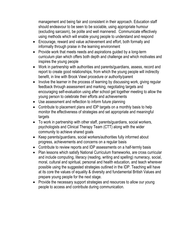management and being fair and consistent in their approach. Education staff should endeavour to be seen to be sociable, using appropriate humour (excluding sarcasm), be polite and well mannered. Communicate effectively using methods which will enable young people to understand and respond

- Encourage, reward and value achievement and effort, both formally and informally through praise in the learning environment
- Provide work that meets needs and aspirations guided by a long-term curriculum plan which offers both depth and challenge and which motivates and inspires the young people
- Work in partnership with authorities and parents/guardians, assess, record and report to create good relationships, from which the young people will indirectly benefit, in line with Brook Viewl procedure or authority/parent
- Involve the learner in the process of learning by discussing work, giving regular feedback through assessment and marking, negotiating targets and encouraging self-evaluation using after school get together meeting to allow the young person to celebrate their efforts and achievements
- Use assessment and reflection to inform future planning
- Contribute to placement plans and IDP targets on a monthly basis to help monitor the effectiveness of strategies and set appropriate and meaningful targets
- To work in partnership with other staff, parents/guardians, social workers, psychologists and Clinical Therapy Team (CTT) along with the wider community to achieve shared goals
- Keep parents/guardians, social workers/authorities fully informed about progress, achievements and concerns on a regular basis
- Contribute to review reports and IDP assessments on a half-termly basis
- Plan lessons which satisfy National Curriculum frameworks, are cross curricular and include computing, literacy (reading, writing and spelling) numeracy, social, moral, cultural and spiritual, personal and health education, and teach wherever possible using the suggested strategies outlined in the IDP. Teaching will have at its core the values of equality & diversity and fundamental British Values and prepare young people for the next stage.
- Provide the necessary support strategies and resources to allow our young people to access and contribute during communication.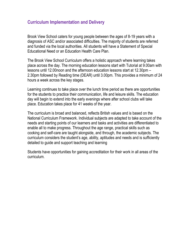# **Curriculum Implementation and Delivery**

Brook View School caters for young people between the ages of 8-19 years with a diagnosis of ASC and/or associated difficulties. The majority of students are referred and funded via the local authorities. All students will have a Statement of Special Educational Need or an Education Health Care Plan.

The Brook View School Curriculum offers a holistic approach where learning takes place across the day. The morning education lessons start with Tutorial at 9.00am with lessons until 12.00noon and the afternoon education lessons start at 12.30pm – 2.30pm followed by Reading time (DEAR) until 3.00pm. This provides a minimum of 24 hours a week across the key stages.

Learning continues to take place over the lunch time period as there are opportunities for the students to practice their communication, life and leisure skills. The education day will begin to extend into the early evenings where after school clubs will take place. Education takes place for 41 weeks of the year.

The curriculum is broad and balanced, reflects British values and is based on the National Curriculum Framework. Individual subjects are adapted to take account of the needs and starting points of our learners and tasks and activities are differentiated to enable all to make progress. Throughout the age range, practical skills such as cooking and self-care are taught alongside, and through, the academic subjects. The curriculum considers the student's age, ability, aptitudes and needs and is sufficiently detailed to guide and support teaching and learning

Students have opportunities for gaining accreditation for their work in all areas of the curriculum.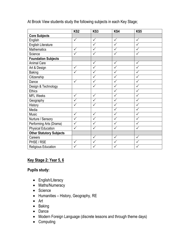|                                 | KS <sub>2</sub> | KS <sub>3</sub> | KS4          | KS5                     |  |
|---------------------------------|-----------------|-----------------|--------------|-------------------------|--|
| <b>Core Subjects</b>            |                 |                 |              |                         |  |
| English                         | $\checkmark$    | $\checkmark$    | $\checkmark$ | $\checkmark$            |  |
| <b>English Literature</b>       |                 | $\checkmark$    | $\checkmark$ | $\overline{\checkmark}$ |  |
| <b>Mathematics</b>              | $\checkmark$    | $\checkmark$    | $\checkmark$ | $\checkmark$            |  |
| Science                         | $\checkmark$    | $\checkmark$    | ✓            | $\checkmark$            |  |
| <b>Foundation Subjects</b>      |                 |                 |              |                         |  |
| <b>Animal Care</b>              |                 | $\checkmark$    | $\checkmark$ | $\checkmark$            |  |
| Art & Design                    | $\checkmark$    |                 | $\checkmark$ |                         |  |
| <b>Baking</b>                   | $\checkmark$    |                 | $\checkmark$ |                         |  |
| Citizenship                     |                 | $\checkmark$    | $\checkmark$ | $\checkmark$            |  |
| Dance                           | $\checkmark$    | $\checkmark$    | $\checkmark$ | $\checkmark$            |  |
| Design & Technology             |                 | $\checkmark$    | $\checkmark$ | $\checkmark$            |  |
| <b>Ethics</b>                   |                 |                 | $\checkmark$ | $\checkmark$            |  |
| <b>MFL Weeks</b>                | ✓               | $\checkmark$    | ✓            | ✓                       |  |
| Geography                       | $\checkmark$    | ✓               | $\checkmark$ | ✓                       |  |
| History                         | ✓               | $\checkmark$    | $\checkmark$ | ✓                       |  |
| Media                           |                 |                 | $\checkmark$ | ✓                       |  |
| Music                           | $\checkmark$    | $\checkmark$    | V            | $\checkmark$            |  |
| Nurture / Sensory               | $\checkmark$    | $\checkmark$    | $\checkmark$ | $\checkmark$            |  |
| Performing Arts (Drama)         | $\checkmark$    |                 | $\checkmark$ | $\checkmark$            |  |
| <b>Physical Education</b>       | $\checkmark$    | $\checkmark$    | $\checkmark$ | ✓                       |  |
| <b>Other Statutory Subjects</b> |                 |                 |              |                         |  |
| Careers                         |                 | ✓               | ✓            | ✓                       |  |
| PHSE / RSE                      | $\checkmark$    | ✓               | ✓            |                         |  |
| Religious Education             |                 |                 |              |                         |  |

At Brook View students study the following subjects in each Key Stage;

# **Key Stage 2: Year 5, 6**

#### **Pupils study:**

- English/Literacy
- Maths/Numeracy
- Science
- Humanities History, Geography, RE
- Art
- Baking
- Dance
- Modern Foreign Language (discrete lessons and through theme days)
- Computing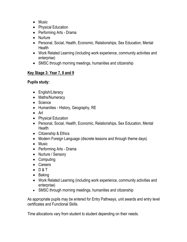- Music
- Physical Education
- Performing Arts Drama
- Nurture
- Personal, Social, Health, Economic, Relationships, Sex Education, Mental **Health**
- Work Related Learning (including work experience, community activities and enterprise)
- SMSC through morning meetings, humanities and citizenship

# **Key Stage 3: Year 7, 8 and 9**

## **Pupils study:**

- English/Literacy
- Maths/Numeracy
- Science
- Humanities History, Geography, RE
- Art
- Physical Education
- Personal, Social, Health, Economic, Relationships, Sex Education, Mental **Health**
- Citizenship & Ethics
- Modern Foreign Language (discrete lessons and through theme days)
- Music
- Performing Arts Drama
- Nurture / Sensory
- Computing
- Careers
- $-$  D&T
- Baking
- Work Related Learning (including work experience, community activities and enterprise)
- SMSC through morning meetings, humanities and citizenship

As appropriate pupils may be entered for Entry Pathways, unit awards and entry level certificates and Functional Skills.

Time allocations vary from student to student depending on their needs.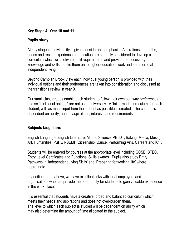## **Key Stage 4: Year 10 and 11**

#### **Pupils study:**

At key stage 4, individuality is given considerable emphasis. Aspirations, strengths, needs and recent experience of education are carefully considered to develop a curriculum which will motivate, fulfil requirements and provide the necessary knowledge and skills to take them on to higher education, work and semi- or total independent living.

Beyond Cambian Brook View each individual young person is provided with their individual options and their preferences are taken into consideration and discussed at the transitions review in year 9.

Our small class groups enable each student to follow their own pathway preferences and so 'traditional options' are not used universally. A 'tailor-made curriculum' for each student, with as much input from the student as possible is created. The content is dependent on ability, needs, aspirations, interests and requirements.

## **Subjects taught are:**

English Language, English Literature, Maths, Science, PE, DT, Baking, Media, Music), Art, Humanities, PSHE RSEMH/Citizenship, Dance, Performing Arts, Careers and ICT.

Students will be entered for courses at the appropriate level including GCSE, BTEC, Entry Level Certificates and Functional Skills awards. Pupils also study Entry Pathways in 'Independent Living Skills' and 'Preparing for working life' where appropriate.

In addition to the above, we have excellent links with local employers and organisations who can provide the opportunity for students to gain valuable experience in the work place.

It is essential that students have a creative, broad and balanced curriculum which meets their needs and aspirations and does not over-burden them. The level to which each subject is studied will be dependent on ability which may also determine the amount of time allocated to the subject.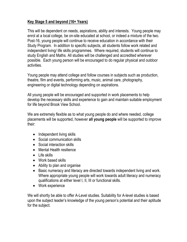# **Key Stage 5 and beyond (16+ Years)**

This will be dependent on needs, aspirations, ability and interests. Young people may enrol at a local college, be on-site educated at school, or indeed a mixture of the two. Post-16, young people will continue to receive education in accordance with their Study Program. In addition to specific subjects, all students follow work related and independent living/ life skills programmes. Where required, students will continue to study English and Maths. All studies will be challenged and accredited wherever possible. Each young person will be encouraged to do regular physical and outdoor activities.

Young people may attend college and follow courses in subjects such as production, theatre, film and events, performing arts, music, animal care, photography, engineering or digital technology depending on aspirations.

All young people will be encouraged and supported in work placements to help develop the necessary skills and experience to gain and maintain suitable employment for life beyond Brook View School.

We are extremely flexible as to what young people do and where needed, college placements will be supported, however **all young people** will be supported to improve their:

- Independent living skills
- Social communication skills
- Social interaction skills
- Mental Health resilience
- Life skills
- Work based skills
- Ability to plan and organise
- Basic numeracy and literacy are directed towards independent living and work. Where appropriate young people will work towards adult literacy and numeracy qualifications at either level I, II, III or functional skills.
- Work experience

We will shortly be able to offer A-Level studies. Suitability for A-level studies is based upon the subject leader's knowledge of the young person's potential and their aptitude for the subject.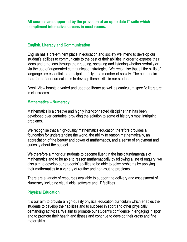**All courses are supported by the provision of an up to date IT suite which compliment interactive screens in most rooms.**

#### **English, Literacy and Communication**

English has a pre-eminent place in education and society we intend to develop our student's abilities to communicate to the best of their abilities in order to express their ideas and emotions through their reading, speaking and listening whether verbally or via the use of augmented communication strategies. We recognise that all the skills of language are essential to participating fully as a member of society. The central aim therefore of our curriculum is to develop these skills in our students.

Brook View boasts a varied and updated library as well as curriculum specific literature in classrooms.

#### **Mathematics – Numeracy**

Mathematics is a creative and highly inter-connected discipline that has been developed over centuries, providing the solution to some of history's most intriguing problems.

We recognise that a high-quality mathematics education therefore provides a foundation for understanding the world, the ability to reason mathematically, an appreciation of the beauty and power of mathematics, and a sense of enjoyment and curiosity about the subject.

We therefore aim for our students to become fluent in the basic fundamentals of mathematics and to be able to reason mathematically by following a line of enquiry, we also aim to develop our students' abilities to be able to solve problems by applying their mathematics to a variety of routine and non-routine problems.

There are a variety of resources available to support the delivery and assessment of Numeracy including visual aids, software and IT facilities.

#### **Physical Education**

It is our aim to provide a high-quality physical education curriculum which enables the students to develop their abilities and to succeed in sport and other physically demanding activities. We aim to promote our student's confidence in engaging in sport and to promote their health and fitness and continue to develop their gross and fine motor skills.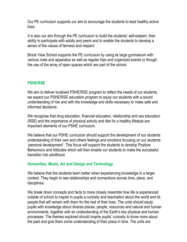Our PE curriculum supports our aim to encourage the students to lead healthy active lives.

It is also our aim through the PE curriculum to build the students' self-esteem, their ability to participate with adults and peers and to enable the students to develop a sense of the values of fairness and respect.

Brook View School supports the PE curriculum by using its large gymnasium with various mats and apparatus as well as regular trips and organized events or though the use of the array of open spaces which are part of the school.

## **PSHE/RSE**

We aim to deliver localised PSHE/RSE program to reflect the needs of our students, we expect our PSHE/RSE education program to equip our students with a sound understanding of risk and with the knowledge and skills necessary to make safe and informed decisions.

We recognise that drug education, financial education, relationship and sex education (RSE) and the importance of physical activity and diet for a healthy lifestyle are important elements of our PSHE curriculum.

We believe that our PSHE curriculum should support the development of our students understanding of their own and others feelings and emotions focusing on our students 'personal development'. This focus will support the students to develop Positive Behaviours and Attitudes which will then enable our students to make the successful transition into adulthood.

## **Humanities, Music, Art and Design and Technology**

We believe that the students learn better when experiencing knowledge in a larger context. They begin to see relationships and connections across time, place, and disciplines.

We break down concepts and facts to more closely resemble how life is experienced outside of school to inspire in pupils a curiosity and fascination about the world and its people that will remain with them for the rest of their lives. The units should equip pupils with knowledge about diverse places, people, resources and natural and human environments, together with an understanding of the Earth's key physical and human processes. The themes explored should inspire pupils' curiosity to know more about the past and give them some understanding of their place in time. The units are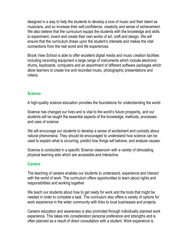designed in a way to help the students to develop a love of music and their talent as musicians, and so increase their self-confidence, creativity and sense of achievement. We also believe that the curriculum equips the students with the knowledge and skills to experiment, invent and create their own works of art, craft and design. We will ensure that the curriculum draws upon the student's interests and makes the vital connections from the real world and life experiences.

Brook View School is able to offer excellent digital media and music creation facilities including recording equipment a large range of instruments which include electronic drums, keyboards, computers and an assortment of different software packages which allow learners to create live and recorded music, photographic presentations and videos.

## **Science**

A high-quality science education provides the foundations for understanding the world

Science has changed our lives and is vital to the world's future prosperity, and our students will be taught the essential aspects of the knowledge, methods, processes and uses of science.

We will encourage our students to develop a sense of excitement and curiosity about natural phenomena. They should be encouraged to understand how science can be used to explain what is occurring, predict how things will behave, and analyse causes.

Science is conducted in a specific Science classroom with a variety of stimulating physical learning aids which are accessible and interactive.

#### **Careers**

The teaching of careers enables our students to understand, experience and interact with the world of work. The curriculum offers opportunities to learn about rights and responsibilities and working together.

We teach our students about how to get ready for work and the tools that might be needed in order to complete a task. The curriculum also offers a variety of options for work experience in the wider community with links to local businesses and projects.

Careers education and awareness is also promoted through individually planned work experience. This takes into consideration personal preference and strengths and is often planned as a result of direct consultation with a student. Work experience is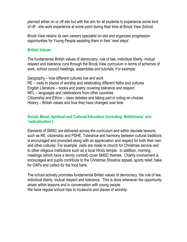planned either on or off site but with the aim for all students to experience some kind of off - site work experience at some point during their time at Brook View School.

Brook View retains its own careers specialist on site and organizes progression opportunities for Young People assisting them in their 'next steps'.

#### **British Values**

The fundamental British values of democracy, rule of law, individual liberty, mutual respect and tolerance runs through the Brook View curriculum in terms of schemes of work, school council meetings, assemblies and tutorials. For example:

Geography – how different cultures live and work RE – visits to places of worship and celebrating different faiths and cultures English Literature – books and poetry covering tolerance and respect MFL – languages and celebrations from other countries Citizenship and Ethics – class debates and taking part in voting on choices History – British values and how they have changed over time

#### **Social, Moral, Spiritual and Cultural Education (including 'Britishness' and 'radicalisation').**

Elements of SMSC are delivered across the curriculum and within discrete lessons such as RE, citizenship and PSHE. Tolerance and harmony between cultural traditions is encouraged and promoted along with an appreciation and respect for both their own and other cultures. For example, visits are made to church for Christmas service and to other religious institutions such as a local Hindu temple. In addition, morning meetings (which have a termly context) cover SMSC themes. Charity involvement is encouraged and pupils contribute to the Christmas Shoebox appeal, sports relief, bake for OAPs and collect for the food bank.

The school actively promotes fundamental British values of democracy, the rule of law, individual liberty, mutual respect and tolerance. This is done whenever the opportunity arises within lessons and in conversation with young people. We have regular school trips to museums and places of worship.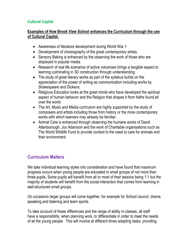# **Cultural Capital**

## **Examples of How Brook View School enhances the Curriculum through the use of Cultural Capital.**

- Awareness of literature development during World War 1
- Development of choreography of the great contemporary artists
- Sensory Baking is enhanced by the observing the work of those who are displayed in popular media.
- Research of real life scenarios of active volcanoes brings a tangible aspect to learning culminating in 3D construction through understanding.
- The study of great literary works as part of the syllabus builds on the appreciation of the power of writing as communication including works by Shakespeare and Dickens.
- Religious Education looks at the great minds who have developed the spiritual aspect of human behavior and the Religion that shapes it from faiths found all over the world.
- The Art, Music and Media curriculum are highly supported by the study of composers and artists including those from history or the more contemporary works with which learners may already be familiar.
- Animal Care is enhanced through observing the humane works of David Attenborough, Joy Adamson and the work of Charitable organisations such as The World Wildlife Fund to provide context to the need to care for animals and their environment.

# **Curriculum Matters**

We take individual learning styles into consideration and have found that maximum progress occurs when young people are educated in small groups of not more than three pupils. Some pupils will benefit from all or most of their lessons being 1:1 but the majority of students will benefit from the social interaction that comes from learning in well-structured small groups.

On occasions larger groups will come together, for example for School council, drama, speaking and listening and team sports.

To take account of these differences and the range of ability in classes, all staff have a responsibility, when planning work, to differentiate in order to meet the needs of all the young people. This will involve at different times adapting tasks, providing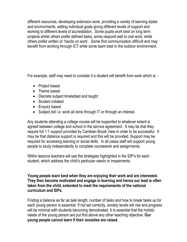different resources, developing extension work, providing a variety of learning styles and environments, setting individual goals giving different levels of support and working to different levels of accreditation. Some pupils work best on long term projects whilst others prefer defined tasks, some respond well to oral work, while others prefer written or 'hands on work'. Some find communication difficult and may benefit from working through ICT while some learn best in the outdoor environment.

For example, staff may need to consider if a student will benefit from work which is: -

- Project based
- Theme based
- Discrete subject timetabled and taught
- Student initiated
- Enquiry based
- Subject led i.e. work all done through IT or through an interest.

Any students attending a college course will be supported to whatever extent is agreed between college and school in the service agreement. It may be that they require full 1:1 support provided by Cambian Brook View in order to be successful. It may be that distance support is required and this will be provided. Support may be required for accessing learning or social skills. In all cases staff will support young people to study independently to complete coursework and assignments.

Within lessons teachers will use the strategies highlighted in the IDP's for each student, which address the child's particular needs or impairments.

**Young people learn best when they are enjoying their work and are interested. They then become motivated and engage in learning and hence our lead is often taken from the child, extended to meet the requirements of the national curriculum and IDPs**.

Finding a balance as far as task length, number of tasks and how to break tasks up for each young person is essential. If not set correctly, anxiety levels will rise and progress will be minimal with students becoming demotivated. It is essential that the holistic needs of the young person are put first above any other teaching objective. **Our young people cannot learn if their anxieties are raised**.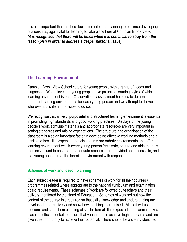It is also important that teachers build time into their planning to continue developing relationships, again vital for learning to take place here at Cambian Brook View. *(it is recognised that there will be times when it is beneficial to stray from the lesson plan in order to address a deeper personal issue).*

# **The Learning Environment**

Cambian Brook View School caters for young people with a range of needs and diagnoses. We believe that young people have preferred learning styles of which the learning environment is part. Observational assessment helps us to determine preferred learning environments for each young person and we attempt to deliver wherever it is safe and possible to do so.

We recognise that a lively, purposeful and structured learning environment is essential in promoting high standards and good working practises. Displays of the young people's work, stimulus materials and appropriate resources are very important in setting standards and raising expectations. The structure and organisation of the classroom is also an important factor in developing effective working methods and a positive ethos. It is expected that classrooms are orderly environments and offer a learning environment which every young person feels safe, secure and able to apply themselves and to ensure that adequate resources are provided and accessible, and that young people treat the learning environment with respect.

## **Schemes of work and lesson planning**

Each subject leader is required to have schemes of work for all their courses / programmes related where appropriate to the national curriculum and examination board requirements. These schemes of work are followed by teachers and their delivery monitored by the Head of Education. Schemes of work set out how the content of the course is structured so that skills, knowledge and understanding are developed progressively and show how teaching is organised. All staff will use medium- and short-term planning of similar format. It is expected that planning takes place in sufficient detail to ensure that young people achieve high standards and are given the opportunity to achieve their potential. There should be a clearly identified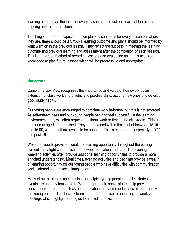learning outcome as the focus of every lesson and it must be clear that learning is ongoing and related to planning.

Teaching staff are not expected to complete lesson plans for every lesson but where they are, there should be a SMART learning outcome and plans should be informed by what went on in the previous lesson. They reflect the success in meeting the learning outcome and previous learning and assessment after the completion of each session. This is an agreed method of recording lessons and evaluating using this acquired knowledge to plan future lessons which will be progressive and appropriate.

## **Homework**

Cambian Brook View recognises the importance and value of homework as an extension of class work and a vehicle to practise skills, acquire new ones and develop good study habits.

Our young people are encouraged to complete work in-house, but this is not enforced. As self-esteem rises and our young people begin to feel successful in the learning environment, they will often request additional work or time in the classroom. This is both encouraged and practised. They are provided with a time slot of between 15.15 and 16.00, where staff are available for support. This is encouraged especially in Y11 and post-16.

We endeavour to provide a wealth of learning opportunity throughout the waking curriculum by tight communication between education and care. The evening and weekend activities often provide additional learning opportunities to provide a more enriched understanding. Meal times, evening activities and bed time provide a wealth of learning opportunity for our young people who have difficulties with communication, social interaction and social imagination.

Many of our strategies used in class for helping young people to re-tell stories or events are used by house staff. Where appropriate social stories help provide consistency in our approach as both education staff and residential staff use them with the young people. The therapy team inform our practise through regular weekly meetings which highlight strategies for individual boys.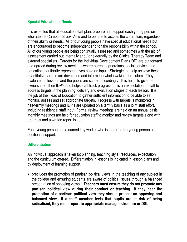## **Special Educational Needs**

It is expected that all education staff plan, prepare and support each young person who attends Cambian Brook View and to be able to access the curriculum, regardless of their ability or needs. All of our young people have special educational needs but are encouraged to become independent and to take responsibility within the school. All of our young people are being continually assessed and sometimes with the aid of assessment carried out internally and / or externally by the Clinical Therapy Team and external specialists. Targets for the Individual Development Plan (IDP) are put forward and agreed during review meetings where parents / guardians, social services and educational authority representatives have an input. Strategies to help achieve these quantitative targets are developed and inform the whole waking curriculum. They are evaluated in lessons and the pupils are scored accordingly. This helps to give them ownership of their IDP's and helps staff track progress. It is an expectation of staff to address targets in the planning, delivery and evaluation stages of each lesson. It is the job of the Head of Education to gather sufficient information to be able to set, monitor, assess and set appropriate targets. Progress with targets is monitored in half-termly meetings and IDP's are updated on a termly basis as a joint staff effort, including residential staff input. Formal review meetings are held on an annual basis. Monthly meetings are held for education staff to monitor and review targets along with progress and a written report is kept.

Each young person has a named key worker who is there for the young person as an additional support.

#### **Differentiation**

An individual approach is taken to: planning, teaching style, resources, expectation and the curriculum offered. Differentiation in lessons is indicated in lesson plans and by deployment of learning support.

• precludes the promotion of partisan political views in the teaching of any subject in the college and ensuring students are aware of political issues through a balanced presentation of opposing views. **Teachers must ensure they do not promote any partisan political view during their conduct or teaching. If they hear the promotion of a partisan political view they should present an opposing and balanced view. If a staff member feels that pupils are at risk of being radicalised, they must report to appropriate manager structure or DSL.**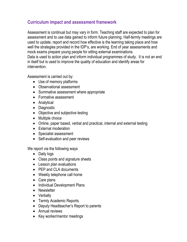# **Curriculum impact and assessment framework**

Assessment is continual but may vary in form. Teaching staff are expected to plan for assessment and to use data gained to inform future planning. Half-termly meetings are used to update, report and record how effective is the learning taking place and how well the strategies provided in the IDP's, are working. End of year assessments and mock exams prepare young people for sitting external examinations. Data is used to action plan and inform individual programmes of study. It is not an end in itself but is used to improve the quality of education and identify areas for intervention.

Assessment is carried out by:

- Use of memory platforms
- Observational assessment
- Summative assessment where appropriate
- Formative assessment
- Analytical
- Diagnostic
- Objective and subjective testing
- Multiple choice
- Online, paper based, verbal and practical, internal and external testing
- External moderation
- Specialist assessment
- Self-evaluation and peer reviews

We report via the following ways

- Daily logs
- Class points and signature sheets
- Lesson plan evaluations
- PEP and CLA documents
- Weekly telephone call home
- Care plans
- Individual Development Plans
- Newsletter
- Verbally
- Termly Academic Reports
- Deputy Headteacher's Report to parents
- Annual reviews
- Key worker/mentor meetings